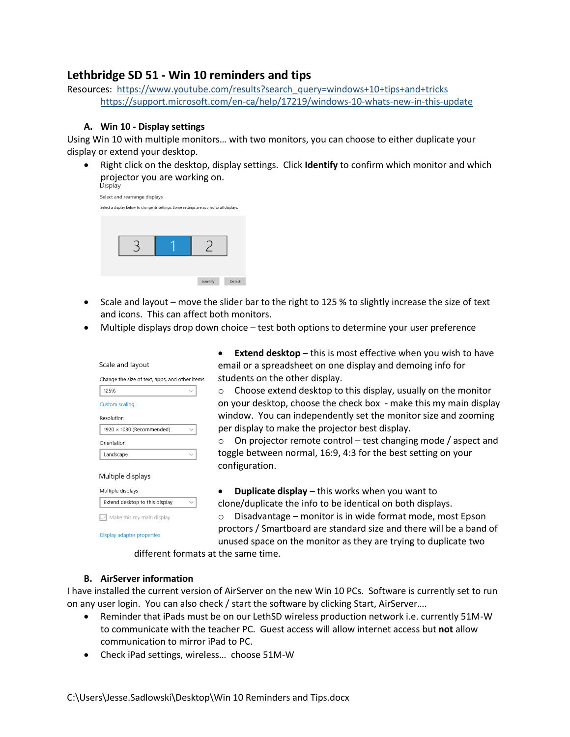# **Lethbridge SD 51 - Win 10 reminders and tips**

Resources: [https://www.youtube.com/results?search\\_query=windows+10+tips+and+tricks](https://www.youtube.com/results?search_query=windows+10+tips+and+tricks) <https://support.microsoft.com/en-ca/help/17219/windows-10-whats-new-in-this-update>

## **A. Win 10 - Display settings**

Using Win 10 with multiple monitors… with two monitors, you can choose to either duplicate your display or extend your desktop.

 Right click on the desktop, display settings. Click **Identify** to confirm which monitor and which projector you are working on.

| nspidy                                                                                   |  |  |          |        |
|------------------------------------------------------------------------------------------|--|--|----------|--------|
| elect and rearrange displays                                                             |  |  |          |        |
| elect a display below to change its settings. Some settings are applied to all displays. |  |  |          |        |
|                                                                                          |  |  |          |        |
|                                                                                          |  |  |          |        |
|                                                                                          |  |  |          |        |
|                                                                                          |  |  |          |        |
|                                                                                          |  |  |          |        |
|                                                                                          |  |  |          |        |
|                                                                                          |  |  | Identify | Detect |
|                                                                                          |  |  |          |        |

- Scale and layout move the slider bar to the right to 125 % to slightly increase the size of text and icons. This can affect both monitors.
- Multiple displays drop down choice test both options to determine your user preference

| Scale and layout                               |  |  |  |  |
|------------------------------------------------|--|--|--|--|
| Change the size of text, apps, and other items |  |  |  |  |
| 125%                                           |  |  |  |  |
| <b>Custom scaling</b>                          |  |  |  |  |
| Resolution                                     |  |  |  |  |
| 1920 × 1080 (Recommended)                      |  |  |  |  |
| Orientation                                    |  |  |  |  |
| Landscape                                      |  |  |  |  |
| Multiple displays                              |  |  |  |  |
| Multiple displays                              |  |  |  |  |
| Extend desktop to this display                 |  |  |  |  |
| Make this my main display                      |  |  |  |  |
| Display adapter properties                     |  |  |  |  |

 **Extend desktop** – this is most effective when you wish to have email or a spreadsheet on one display and demoing info for students on the other display.

o Choose extend desktop to this display, usually on the monitor on your desktop, choose the check box - make this my main display window. You can independently set the monitor size and zooming per display to make the projector best display.

o On projector remote control – test changing mode / aspect and toggle between normal, 16:9, 4:3 for the best setting on your configuration.

**Duplicate display** – this works when you want to

clone/duplicate the info to be identical on both displays. o Disadvantage – monitor is in wide format mode, most Epson proctors / Smartboard are standard size and there will be a band of unused space on the monitor as they are trying to duplicate two

different formats at the same time.

## **B. AirServer information**

I have installed the current version of AirServer on the new Win 10 PCs. Software is currently set to run on any user login. You can also check / start the software by clicking Start, AirServer....

- Reminder that iPads must be on our LethSD wireless production network i.e. currently 51M-W to communicate with the teacher PC. Guest access will allow internet access but **not** allow communication to mirror iPad to PC.
- Check iPad settings, wireless… choose 51M-W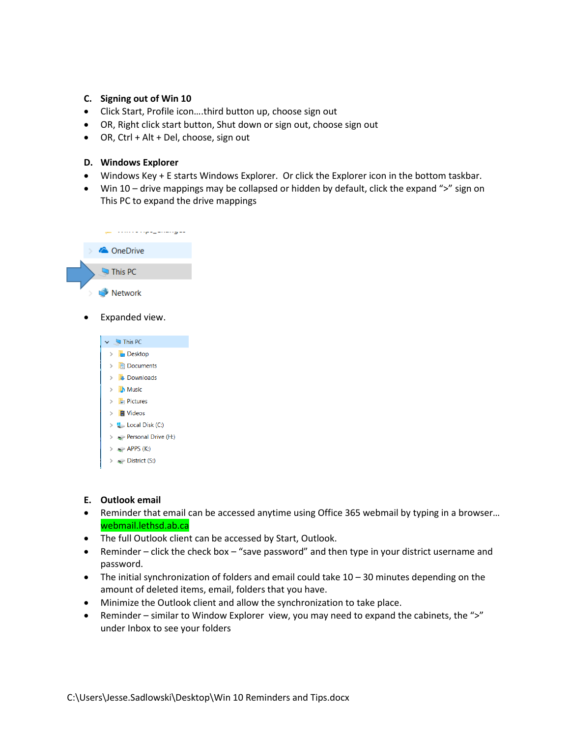## **C. Signing out of Win 10**

- Click Start, Profile icon….third button up, choose sign out
- OR, Right click start button, Shut down or sign out, choose sign out
- OR, Ctrl + Alt + Del, choose, sign out

## **D. Windows Explorer**

- Windows Key + E starts Windows Explorer. Or click the Explorer icon in the bottom taskbar.
- Win 10 drive mappings may be collapsed or hidden by default, click the expand ">" sign on This PC to expand the drive mappings



Expanded view.



#### **E. Outlook email**

- Reminder that email can be accessed anytime using Office 365 webmail by typing in a browser... webmail.lethsd.ab.ca
- The full Outlook client can be accessed by Start, Outlook.
- Reminder click the check box "save password" and then type in your district username and password.
- The initial synchronization of folders and email could take 10 30 minutes depending on the amount of deleted items, email, folders that you have.
- Minimize the Outlook client and allow the synchronization to take place.
- Reminder similar to Window Explorer view, you may need to expand the cabinets, the ">" under Inbox to see your folders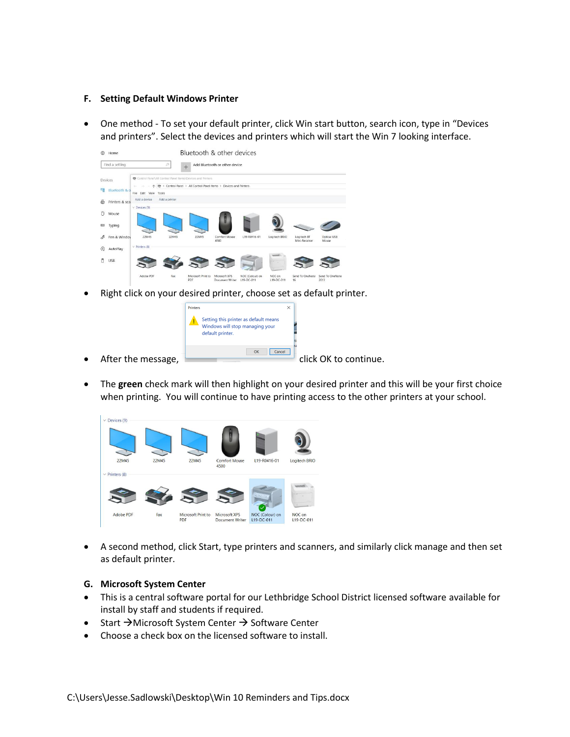#### **F. Setting Default Windows Printer**

 One method - To set your default printer, click Win start button, search icon, type in "Devices and printers". Select the devices and printers which will start the Win 7 looking interface.

| Find a setting                  |                                                                    | p             | $+$                                                                | Add Bluetooth or other device |                 |               |                 |                 |
|---------------------------------|--------------------------------------------------------------------|---------------|--------------------------------------------------------------------|-------------------------------|-----------------|---------------|-----------------|-----------------|
|                                 |                                                                    |               |                                                                    |                               |                 |               |                 |                 |
| Devices                         |                                                                    |               | ● Control Panel\All Control Panel Items\Devices and Printers       |                               |                 |               |                 |                 |
|                                 | $\label{eq:1} \mathcal{L}_{\text{max}} = \mathcal{L}_{\text{max}}$ |               | 卷 > Control Panel > All Control Panel Items > Devices and Printers |                               |                 |               |                 |                 |
| 喕<br>Bluetooth & d              | Edit View<br>File                                                  | Tools         |                                                                    |                               |                 |               |                 |                 |
| 咼<br>Printers & sca             | Add a device                                                       | Add a printer |                                                                    |                               |                 |               |                 |                 |
|                                 | $\vee$ Devices (9)                                                 |               |                                                                    |                               |                 |               |                 |                 |
| O<br>Mouse                      |                                                                    |               |                                                                    |                               |                 |               |                 |                 |
|                                 |                                                                    |               |                                                                    |                               |                 |               |                 |                 |
| 63<br>Typing                    |                                                                    |               |                                                                    |                               |                 |               |                 |                 |
| Pen & Windov<br>ct <sup>p</sup> | 22M45                                                              | 22M45         | 22M45                                                              | Comfort Mouse                 | L19-R0416-01    | Logitech BRIO | Logitech BT     | Optical USB     |
|                                 |                                                                    |               |                                                                    | 4500                          |                 |               | Mini-Receiver   | Mouse           |
| ℗<br>AutoPlay                   | $\vee$ Printers (8)                                                |               |                                                                    |                               |                 |               |                 |                 |
| ō<br><b>USB</b>                 |                                                                    |               |                                                                    |                               |                 |               |                 |                 |
|                                 |                                                                    |               |                                                                    |                               |                 |               |                 |                 |
|                                 |                                                                    |               |                                                                    |                               |                 |               |                 |                 |
|                                 | Adobe PDF                                                          | Fax           | Microsoft Print to                                                 | Microsoft XPS                 | NOC (Colour) on | NOC on        | Send To OneNote | Send To OneNote |

Right click on your desired printer, choose set as default printer.

|           |                    | <b>Printers</b><br>Setting this printer as default means<br>Windows will stop managing your<br>default printer.<br>OK<br>Cancel | ×                     |
|-----------|--------------------|---------------------------------------------------------------------------------------------------------------------------------|-----------------------|
| $\bullet$ | After the message, |                                                                                                                                 | click OK to continue. |

 The **green** check mark will then highlight on your desired printer and this will be your first choice when printing. You will continue to have printing access to the other printers at your school.



 A second method, click Start, type printers and scanners, and similarly click manage and then set as default printer.

## **G. Microsoft System Center**

- This is a central software portal for our Lethbridge School District licensed software available for install by staff and students if required.
- Start  $\rightarrow$  Microsoft System Center  $\rightarrow$  Software Center
- Choose a check box on the licensed software to install.